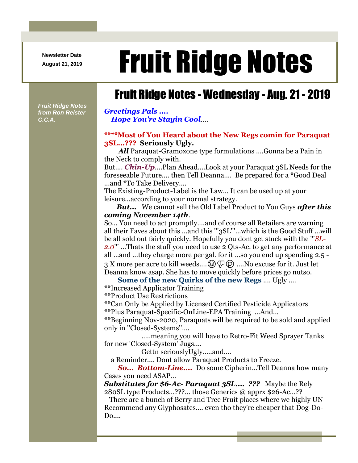**Newsletter Date**

## August 21, 2019 **Fruit Ridge Notes**

## Fruit Ridge Notes - Wednesday - Aug. 21 - 2019

*Fruit Ridge Notes from Ron Reister C.C.A.*

*Greetings Pals .... Hope You're Stayin Cool*....

## **\*\*\*\*Most of You Heard about the New Regs comin for Paraquat 3SL...??? Seriously Ugly.**

All Paraquat-Gramoxone type formulations ....Gonna be a Pain in the Neck to comply with.

But.... *Chin-Up*....Plan Ahead....Look at your Paraquat 3SL Needs for the foreseeable Future.... then Tell Deanna.... Be prepared for a \*Good Deal ...and \*To Take Delivery....

The Existing-Product-Label is the Law... It can be used up at your leisure...according to your normal strategy.

*But...* We cannot sell the Old Label Product to You Guys *after this coming November 14th*.

So... You need to act promptly....and of course all Retailers are warning all their Faves about this ...and this '''3SL'''...which is the Good Stuff ...will be all sold out fairly quickly. Hopefully you dont get stuck with the '''*SL-2.0*''' ...Thats the stuff you need to use 2 Qts-Ac. to get any performance at all ...and ...they charge more per gal. for it ...so you end up spending 2.5 - 3 X more per acre to kill weeds....  $\circledS \not\bigoplus \circledS$  ....No excuse for it. Just let Deanna know asap. She has to move quickly before prices go nutso.

**Some of the new Quirks of the new Regs** .... Ugly ....

\*\*Increased Applicator Training

\*\*Product Use Restrictions

\*\*Can Only be Applied by Licensed Certified Pesticide Applicators

\*\*Plus Paraquat-Specific-OnLine-EPA Training ...And...

\*\*Beginning Nov-2020, Paraquats will be required to be sold and applied only in ''Closed-Systems''....

.....meaning you will have to Retro-Fit Weed Sprayer Tanks for new 'Closed-System' Jugs....

Gettn seriouslyUgly.....and....

a Reminder.... Dont allow Paraquat Products to Freeze.

*So... Bottom-Line....* Do some Cipherin...Tell Deanna how many Cases you need ASAP...

*Substitutes for \$6-Ac- Paraquat 3SL.... ???* Maybe the Rely 280SL type Products...???... those Generics @ apprx \$26-Ac...??

There are a bunch of Berry and Tree Fruit places where we highly UN-Recommend any Glyphosates.... even tho they're cheaper that Dog-Do-Do....